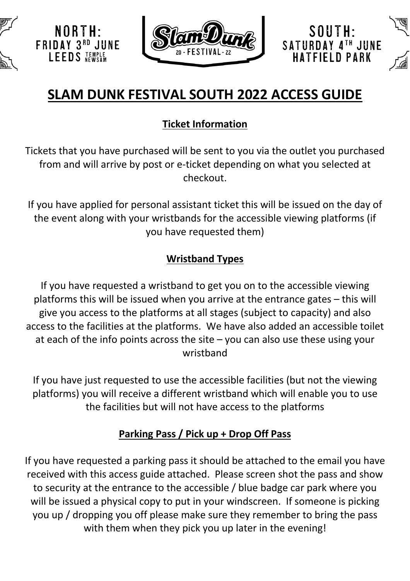



SOUTH:

SATURDAY 4TH JUNE

**IATFIELD PARK** 

# **SLAM DUNK FESTIVAL SOUTH 2022 ACCESS GUIDE**

# **Ticket Information**

Tickets that you have purchased will be sent to you via the outlet you purchased from and will arrive by post or e-ticket depending on what you selected at checkout.

If you have applied for personal assistant ticket this will be issued on the day of the event along with your wristbands for the accessible viewing platforms (if you have requested them)

#### **Wristband Types**

If you have requested a wristband to get you on to the accessible viewing platforms this will be issued when you arrive at the entrance gates – this will give you access to the platforms at all stages (subject to capacity) and also access to the facilities at the platforms. We have also added an accessible toilet at each of the info points across the site – you can also use these using your wristband

If you have just requested to use the accessible facilities (but not the viewing platforms) you will receive a different wristband which will enable you to use the facilities but will not have access to the platforms

# **Parking Pass / Pick up + Drop Off Pass**

If you have requested a parking pass it should be attached to the email you have received with this access guide attached. Please screen shot the pass and show to security at the entrance to the accessible / blue badge car park where you will be issued a physical copy to put in your windscreen. If someone is picking you up / dropping you off please make sure they remember to bring the pass with them when they pick you up later in the evening!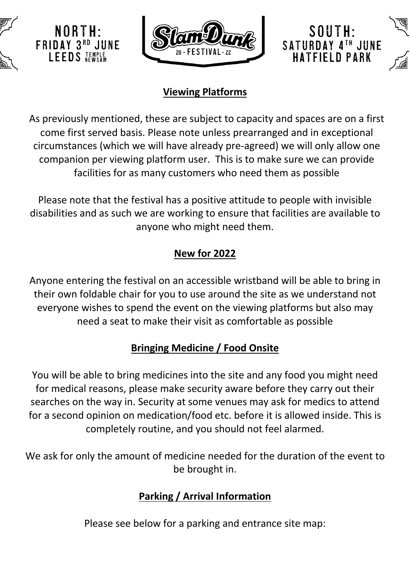



SOUTH:

SATURDAY 4TH JUNE

IATFIFI D PARK

#### **Viewing Platforms**

As previously mentioned, these are subject to capacity and spaces are on a first come first served basis. Please note unless prearranged and in exceptional circumstances (which we will have already pre-agreed) we will only allow one companion per viewing platform user. This is to make sure we can provide facilities for as many customers who need them as possible

Please note that the festival has a positive attitude to people with invisible disabilities and as such we are working to ensure that facilities are available to anyone who might need them.

# **New for 2022**

Anyone entering the festival on an accessible wristband will be able to bring in their own foldable chair for you to use around the site as we understand not everyone wishes to spend the event on the viewing platforms but also may need a seat to make their visit as comfortable as possible

#### **Bringing Medicine / Food Onsite**

You will be able to bring medicines into the site and any food you might need for medical reasons, please make security aware before they carry out their searches on the way in. Security at some venues may ask for medics to attend for a second opinion on medication/food etc. before it is allowed inside. This is completely routine, and you should not feel alarmed.

We ask for only the amount of medicine needed for the duration of the event to be brought in.

#### **Parking / Arrival Information**

Please see below for a parking and entrance site map: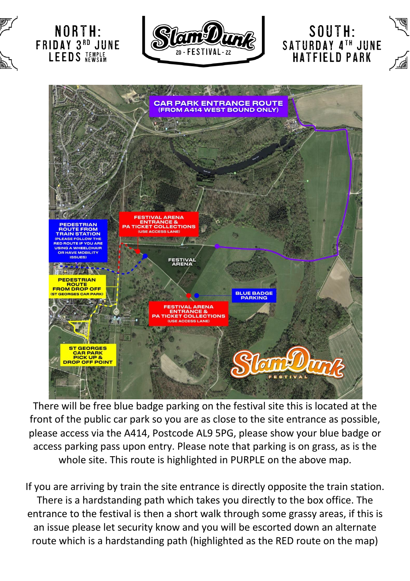

There will be free blue badge parking on the festival site this is located at the front of the public car park so you are as close to the site entrance as possible, please access via the A414, Postcode AL9 5PG, please show your blue badge or access parking pass upon entry. Please note that parking is on grass, as is the whole site. This route is highlighted in PURPLE on the above map.

If you are arriving by train the site entrance is directly opposite the train station. There is a hardstanding path which takes you directly to the box office. The entrance to the festival is then a short walk through some grassy areas, if this is an issue please let security know and you will be escorted down an alternate route which is a hardstanding path (highlighted as the RED route on the map)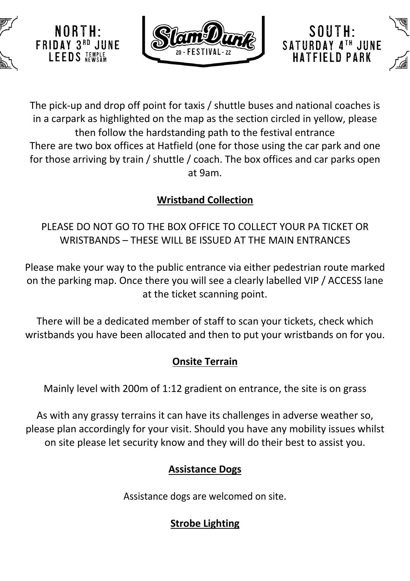

NORIH **FRIDAY 3RD JUNE** 

LEEDS JEMPLE



SOUTH:

SATURDAY 4TH JUNE **IATFIELD PARK** 

The pick-up and drop off point for taxis / shuttle buses and national coaches is in a carpark as highlighted on the map as the section circled in yellow, please then follow the hardstanding path to the festival entrance There are two box offices at Hatfield (one for those using the car park and one for those arriving by train / shuttle / coach. The box offices and car parks open at 9am.

#### **Wristband Collection**

PLEASE DO NOT GO TO THE BOX OFFICE TO COLLECT YOUR PA TICKET OR WRISTBANDS – THESE WILL BE ISSUED AT THE MAIN ENTRANCES

Please make your way to the public entrance via either pedestrian route marked on the parking map. Once there you will see a clearly labelled VIP / ACCESS lane at the ticket scanning point.

There will be a dedicated member of staff to scan your tickets, check which wristbands you have been allocated and then to put your wristbands on for you.

# **Onsite Terrain**

Mainly level with 200m of 1:12 gradient on entrance, the site is on grass

As with any grassy terrains it can have its challenges in adverse weather so, please plan accordingly for your visit. Should you have any mobility issues whilst on site please let security know and they will do their best to assist you.

# **Assistance Dogs**

Assistance dogs are welcomed on site.

# **Strobe Lighting**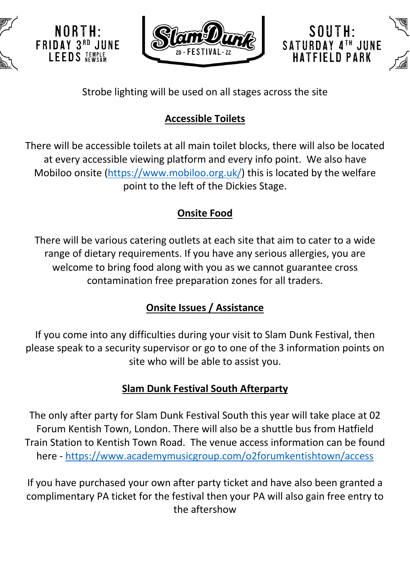

NORTH·

**FRIDAY 3RD JUNE** LEEDS JEMPLE





Strobe lighting will be used on all stages across the site

# **Accessible Toilets**

There will be accessible toilets at all main toilet blocks, there will also be located at every accessible viewing platform and every info point. We also have Mobiloo onsite (https://www.mobiloo.org.uk/) this is located by the welfare point to the left of the Dickies Stage.

# **Onsite Food**

There will be various catering outlets at each site that aim to cater to a wide range of dietary requirements. If you have any serious allergies, you are welcome to bring food along with you as we cannot guarantee cross contamination free preparation zones for all traders.

# **Onsite Issues / Assistance**

If you come into any difficulties during your visit to Slam Dunk Festival, then please speak to a security supervisor or go to one of the 3 information points on site who will be able to assist you.

#### **Slam Dunk Festival South Afterparty**

The only after party for Slam Dunk Festival South this year will take place at 02 Forum Kentish Town, London. There will also be a shuttle bus from Hatfield Train Station to Kentish Town Road. The venue access information can be found here - https://www.academymusicgroup.com/o2forumkentishtown/access

If you have purchased your own after party ticket and have also been granted a complimentary PA ticket for the festival then your PA will also gain free entry to the aftershow